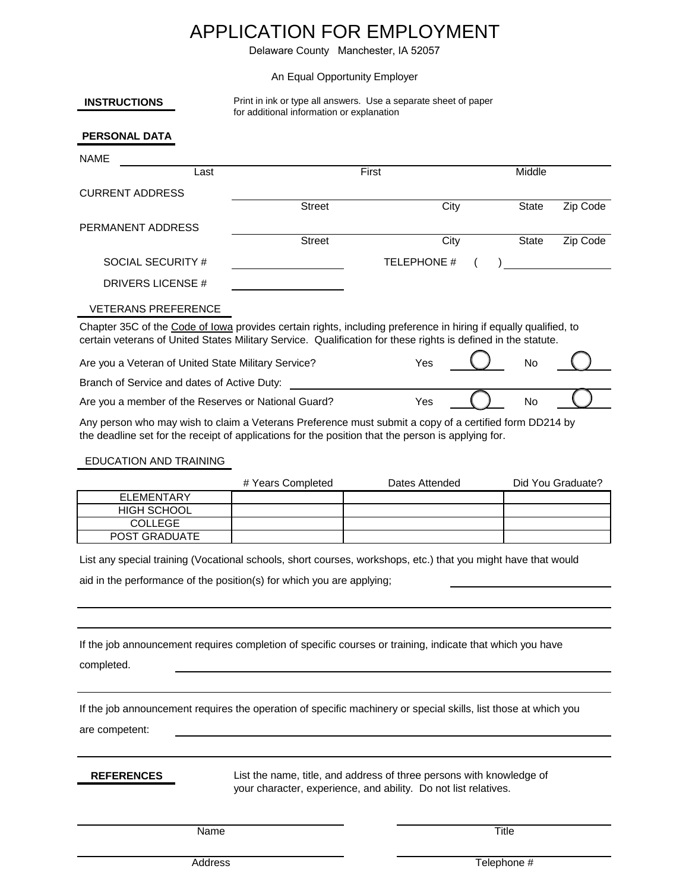## APPLICATION FOR EMPLOYMENT

Delaware County Manchester, IA 52057

## An Equal Opportunity Employer

| <b>INSTRUCTIONS</b> | Print in ink or type all answers. Use a separate sheet of paper |  |  |
|---------------------|-----------------------------------------------------------------|--|--|
|                     | for additional information or explanation                       |  |  |

## **PERSONAL DATA**

| <b>NAME</b>                                         |                                                                                                                                                                                                                                   |             |              |          |
|-----------------------------------------------------|-----------------------------------------------------------------------------------------------------------------------------------------------------------------------------------------------------------------------------------|-------------|--------------|----------|
| Last                                                | First                                                                                                                                                                                                                             |             | Middle       |          |
| <b>CURRENT ADDRESS</b>                              |                                                                                                                                                                                                                                   |             |              |          |
|                                                     | <b>Street</b>                                                                                                                                                                                                                     | City        | State        | Zip Code |
| PERMANENT ADDRESS                                   |                                                                                                                                                                                                                                   |             |              |          |
|                                                     | <b>Street</b>                                                                                                                                                                                                                     | City        | <b>State</b> | Zip Code |
| SOCIAL SECURITY #                                   |                                                                                                                                                                                                                                   | TELEPHONE # |              |          |
| DRIVERS LICENSE #                                   |                                                                                                                                                                                                                                   |             |              |          |
| <b>VETERANS PREFERENCE</b>                          |                                                                                                                                                                                                                                   |             |              |          |
|                                                     | Chapter 35C of the Code of Iowa provides certain rights, including preference in hiring if equally qualified, to<br>certain veterans of United States Military Service. Qualification for these rights is defined in the statute. |             |              |          |
| Are you a Veteran of United State Military Service? |                                                                                                                                                                                                                                   | Yes         | <b>No</b>    |          |
| Branch of Service and dates of Active Duty:         |                                                                                                                                                                                                                                   |             |              |          |
| Are you a member of the Reserves or National Guard? |                                                                                                                                                                                                                                   | Yes         | <b>No</b>    |          |

Any person who may wish to claim a Veterans Preference must submit a copy of a certified form DD214 by the deadline set for the receipt of applications for the position that the person is applying for.

## EDUCATION AND TRAINING

|                      | # Years Completed | Dates Attended | Did You Graduate? |
|----------------------|-------------------|----------------|-------------------|
| ELEMENTARY           |                   |                |                   |
| <b>HIGH SCHOOL</b>   |                   |                |                   |
| COLLEGE              |                   |                |                   |
| <b>POST GRADUATE</b> |                   |                |                   |

List any special training (Vocational schools, short courses, workshops, etc.) that you might have that would

aid in the performance of the position(s) for which you are applying;

If the job announcement requires completion of specific courses or training, indicate that which you have

completed.

If the job announcement requires the operation of specific machinery or special skills, list those at which you

are competent:

**REFERENCES**

List the name, title, and address of three persons with knowledge of your character, experience, and ability. Do not list relatives.

Name Title

Address Telephone #